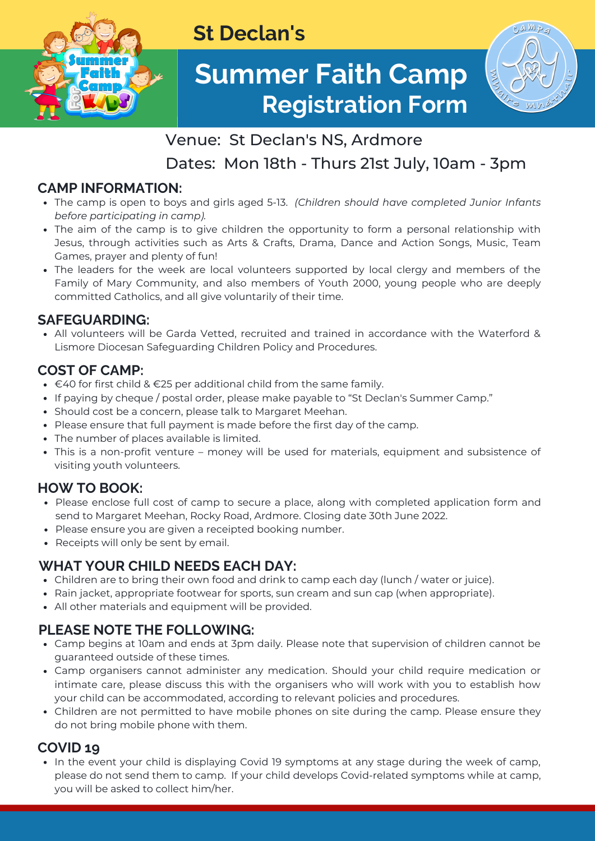

## **St Declan's**

# **Summer Faith Camp Registration Form**



## Venue: St Declan's NS, Ardmore

Dates: Mon 18th - Thurs 21st July, 10am - 3pm

## **CAMP INFORMATION:**

- The camp is open to boys and girls aged 5-13. *(Children should have completed Junior Infants before participating in camp).*
- The aim of the camp is to give children the opportunity to form a personal relationship with Jesus, through activities such as Arts & Crafts, Drama, Dance and Action Songs, Music, Team Games, prayer and plenty of fun!
- The leaders for the week are local volunteers supported by local clergy and members of the Family of Mary Community, and also members of Youth 2000, young people who are deeply committed Catholics, and all give voluntarily of their time.

## **SAFEGUARDING:**

All volunteers will be Garda Vetted, recruited and trained in accordance with the Waterford & Lismore Diocesan Safeguarding Children Policy and Procedures.

#### **COST OF CAMP:**

- $\bullet$  €40 for first child & €25 per additional child from the same family.
- If paying by cheque / postal order, please make payable to "St Declan's Summer Camp."
- Should cost be a concern, please talk to Margaret Meehan.
- Please ensure that full payment is made before the first day of the camp.
- The number of places available is limited.
- This is a non-profit venture money will be used for materials, equipment and subsistence of visiting youth volunteers.

#### **HOW TO BOOK:**

- Please enclose full cost of camp to secure a place, along with completed application form and send to Margaret Meehan, Rocky Road, Ardmore. Closing date 30th June 2022.
- Please ensure you are given a receipted booking number.
- Receipts will only be sent by email.

## **WHAT YOUR CHILD NEEDS EACH DAY:**

- Children are to bring their own food and drink to camp each day (lunch / water or juice).
- Rain jacket, appropriate footwear for sports, sun cream and sun cap (when appropriate).
- All other materials and equipment will be provided.

#### **PLEASE NOTE THE FOLLOWING:**

- Camp begins at 10am and ends at 3pm daily. Please note that supervision of children cannot be guaranteed outside of these times.
- Camp organisers cannot administer any medication. Should your child require medication or intimate care, please discuss this with the organisers who will work with you to establish how your child can be accommodated, according to relevant policies and procedures.
- Children are not permitted to have mobile phones on site during the camp. Please ensure they do not bring mobile phone with them.

## **COVID 19**

• In the event your child is displaying Covid 19 symptoms at any stage during the week of camp, please do not send them to camp. If your child develops Covid-related symptoms while at camp, you will be asked to collect him/her.